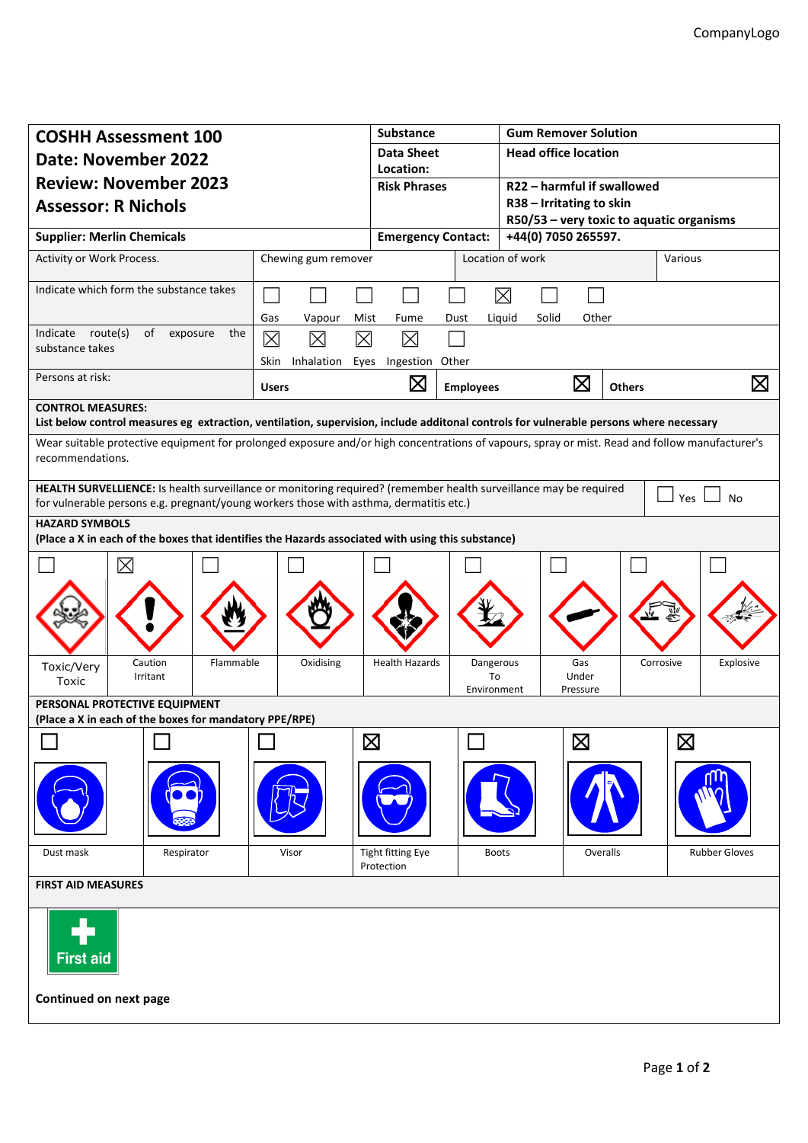| <b>COSHH Assessment 100</b><br><b>Date: November 2022</b><br><b>Review: November 2023</b><br><b>Assessor: R Nichols</b>                                                                                                  |                            | <b>Substance</b><br><b>Data Sheet</b><br>Location: |                   | <b>Gum Remover Solution</b><br><b>Head office location</b> |                              |                                                        |  |  |
|--------------------------------------------------------------------------------------------------------------------------------------------------------------------------------------------------------------------------|----------------------------|----------------------------------------------------|-------------------|------------------------------------------------------------|------------------------------|--------------------------------------------------------|--|--|
|                                                                                                                                                                                                                          |                            |                                                    |                   |                                                            |                              |                                                        |  |  |
|                                                                                                                                                                                                                          |                            |                                                    |                   | <b>Risk Phrases</b>                                        |                              | R22 - harmful if swallowed<br>R38 - Irritating to skin |  |  |
|                                                                                                                                                                                                                          |                            |                                                    |                   | R50/53 - very toxic to aquatic organisms                   |                              |                                                        |  |  |
|                                                                                                                                                                                                                          |                            | <b>Supplier: Merlin Chemicals</b>                  |                   | <b>Emergency Contact:</b>                                  |                              | +44(0) 7050 265597.                                    |  |  |
| Activity or Work Process.<br>Chewing gum remover                                                                                                                                                                         |                            |                                                    |                   | Location of work                                           |                              | Various                                                |  |  |
| Indicate which form the substance takes                                                                                                                                                                                  |                            |                                                    |                   | $\boxtimes$                                                |                              |                                                        |  |  |
| Indicate route(s)<br>of<br>exposure<br>the                                                                                                                                                                               | Gas<br>Vapour<br>Mist      | Fume                                               | Dust              | Liquid<br>Solid                                            | Other                        |                                                        |  |  |
| substance takes                                                                                                                                                                                                          | 区<br>$\boxtimes$<br>⊠      | 冈                                                  |                   |                                                            |                              |                                                        |  |  |
| Persons at risk:                                                                                                                                                                                                         | Inhalation<br>Eyes<br>Skin | Ingestion Other                                    |                   |                                                            |                              |                                                        |  |  |
|                                                                                                                                                                                                                          | <b>Users</b>               | $\boxtimes$                                        | <b>Employees</b>  |                                                            | $\boxtimes$<br><b>Others</b> | $\boxtimes$                                            |  |  |
| <b>CONTROL MEASURES:</b><br>List below control measures eg extraction, ventilation, supervision, include additonal controls for vulnerable persons where necessary                                                       |                            |                                                    |                   |                                                            |                              |                                                        |  |  |
| Wear suitable protective equipment for prolonged exposure and/or high concentrations of vapours, spray or mist. Read and follow manufacturer's<br>recommendations.                                                       |                            |                                                    |                   |                                                            |                              |                                                        |  |  |
| HEALTH SURVELLIENCE: Is health surveillance or monitoring required? (remember health surveillance may be required<br>Yes<br>No<br>for vulnerable persons e.g. pregnant/young workers those with asthma, dermatitis etc.) |                            |                                                    |                   |                                                            |                              |                                                        |  |  |
| <b>HAZARD SYMBOLS</b>                                                                                                                                                                                                    |                            |                                                    |                   |                                                            |                              |                                                        |  |  |
| (Place a X in each of the boxes that identifies the Hazards associated with using this substance)                                                                                                                        |                            |                                                    |                   |                                                            |                              |                                                        |  |  |
| $\times$                                                                                                                                                                                                                 |                            |                                                    |                   |                                                            |                              |                                                        |  |  |
|                                                                                                                                                                                                                          |                            |                                                    |                   |                                                            |                              |                                                        |  |  |
| Caution<br>Flammable                                                                                                                                                                                                     | Oxidising                  | <b>Health Hazards</b>                              | Dangerous         |                                                            | Gas                          | Corrosive<br>Explosive                                 |  |  |
| Toxic/Very<br>Irritant<br>Toxic                                                                                                                                                                                          |                            |                                                    | To<br>Environment |                                                            | Under<br>Pressure            |                                                        |  |  |
| PERSONAL PROTECTIVE EQUIPMENT<br>(Place a X in each of the boxes for mandatory PPE/RPE)                                                                                                                                  |                            |                                                    |                   |                                                            |                              |                                                        |  |  |
|                                                                                                                                                                                                                          |                            | $\boxtimes$                                        |                   |                                                            | $\boxtimes$                  | $\boxtimes$                                            |  |  |
|                                                                                                                                                                                                                          |                            |                                                    |                   |                                                            |                              |                                                        |  |  |
| Dust mask<br>Respirator                                                                                                                                                                                                  | Visor                      | <b>Tight fitting Eye</b><br>Protection             | <b>Boots</b>      |                                                            | Overalls                     | <b>Rubber Gloves</b>                                   |  |  |
| <b>FIRST AID MEASURES</b>                                                                                                                                                                                                |                            |                                                    |                   |                                                            |                              |                                                        |  |  |
| <b>First aid</b>                                                                                                                                                                                                         |                            |                                                    |                   |                                                            |                              |                                                        |  |  |
| Continued on next page                                                                                                                                                                                                   |                            |                                                    |                   |                                                            |                              |                                                        |  |  |